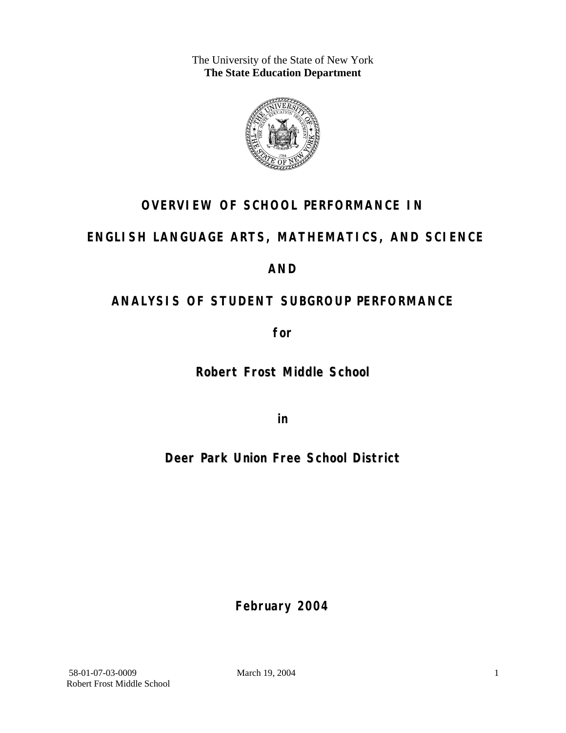The University of the State of New York **The State Education Department** 



## **OVERVIEW OF SCHOOL PERFORMANCE IN**

## **ENGLISH LANGUAGE ARTS, MATHEMATICS, AND SCIENCE**

### **AND**

# **ANALYSIS OF STUDENT SUBGROUP PERFORMANCE**

**for** 

**Robert Frost Middle School**

**in** 

**Deer Park Union Free School District**

**February 2004**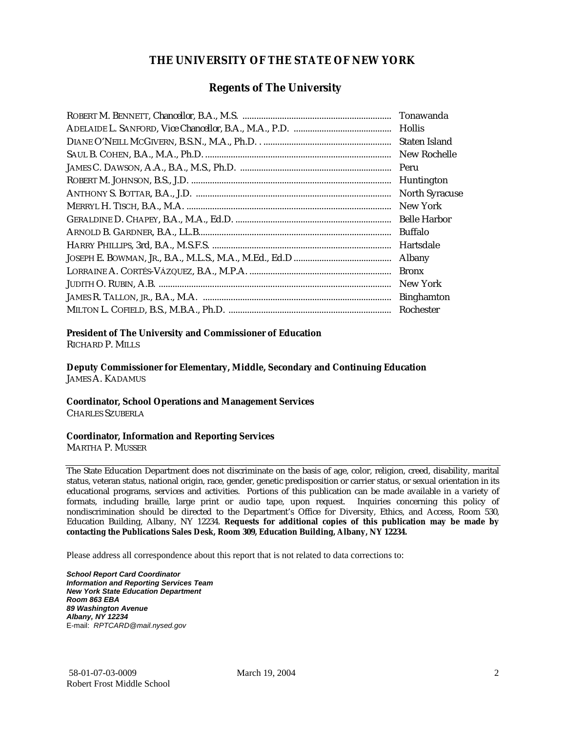### **THE UNIVERSITY OF THE STATE OF NEW YORK**

### **Regents of The University**

| Tonawanda             |
|-----------------------|
| <b>Hollis</b>         |
| Staten Island         |
| New Rochelle          |
| Peru                  |
| Huntington            |
| <b>North Syracuse</b> |
| New York              |
| <b>Belle Harbor</b>   |
| Buffalo               |
| Hartsdale             |
| Albany                |
| <b>Bronx</b>          |
| New York              |
| <b>Binghamton</b>     |
| Rochester             |

#### **President of The University and Commissioner of Education**

RICHARD P. MILLS

**Deputy Commissioner for Elementary, Middle, Secondary and Continuing Education**  JAMES A. KADAMUS

#### **Coordinator, School Operations and Management Services**

CHARLES SZUBERLA

#### **Coordinator, Information and Reporting Services**

MARTHA P. MUSSER

The State Education Department does not discriminate on the basis of age, color, religion, creed, disability, marital status, veteran status, national origin, race, gender, genetic predisposition or carrier status, or sexual orientation in its educational programs, services and activities. Portions of this publication can be made available in a variety of formats, including braille, large print or audio tape, upon request. Inquiries concerning this policy of nondiscrimination should be directed to the Department's Office for Diversity, Ethics, and Access, Room 530, Education Building, Albany, NY 12234. **Requests for additional copies of this publication may be made by contacting the Publications Sales Desk, Room 309, Education Building, Albany, NY 12234.** 

Please address all correspondence about this report that is not related to data corrections to:

*School Report Card Coordinator Information and Reporting Services Team New York State Education Department Room 863 EBA 89 Washington Avenue Albany, NY 12234*  E-mail: *RPTCARD@mail.nysed.gov*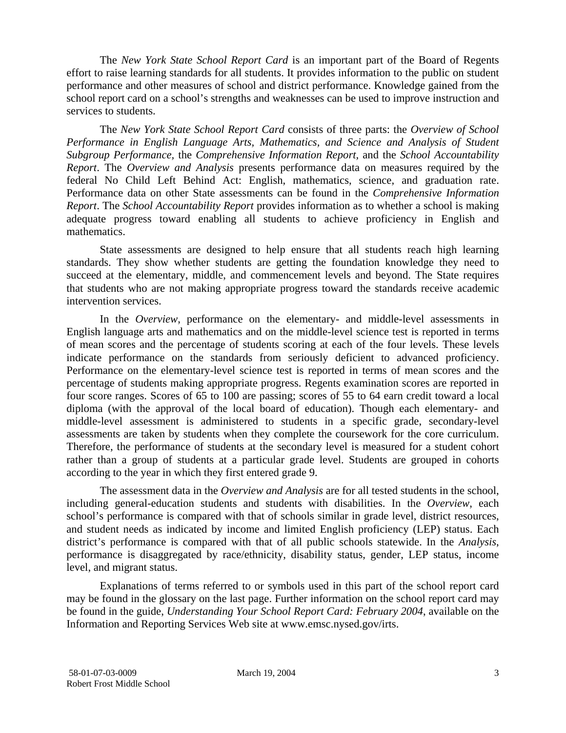The *New York State School Report Card* is an important part of the Board of Regents effort to raise learning standards for all students. It provides information to the public on student performance and other measures of school and district performance. Knowledge gained from the school report card on a school's strengths and weaknesses can be used to improve instruction and services to students.

The *New York State School Report Card* consists of three parts: the *Overview of School Performance in English Language Arts, Mathematics, and Science and Analysis of Student Subgroup Performance,* the *Comprehensive Information Report,* and the *School Accountability Report*. The *Overview and Analysis* presents performance data on measures required by the federal No Child Left Behind Act: English, mathematics, science, and graduation rate. Performance data on other State assessments can be found in the *Comprehensive Information Report*. The *School Accountability Report* provides information as to whether a school is making adequate progress toward enabling all students to achieve proficiency in English and mathematics.

State assessments are designed to help ensure that all students reach high learning standards. They show whether students are getting the foundation knowledge they need to succeed at the elementary, middle, and commencement levels and beyond. The State requires that students who are not making appropriate progress toward the standards receive academic intervention services.

In the *Overview*, performance on the elementary- and middle-level assessments in English language arts and mathematics and on the middle-level science test is reported in terms of mean scores and the percentage of students scoring at each of the four levels. These levels indicate performance on the standards from seriously deficient to advanced proficiency. Performance on the elementary-level science test is reported in terms of mean scores and the percentage of students making appropriate progress. Regents examination scores are reported in four score ranges. Scores of 65 to 100 are passing; scores of 55 to 64 earn credit toward a local diploma (with the approval of the local board of education). Though each elementary- and middle-level assessment is administered to students in a specific grade, secondary-level assessments are taken by students when they complete the coursework for the core curriculum. Therefore, the performance of students at the secondary level is measured for a student cohort rather than a group of students at a particular grade level. Students are grouped in cohorts according to the year in which they first entered grade 9.

The assessment data in the *Overview and Analysis* are for all tested students in the school, including general-education students and students with disabilities. In the *Overview*, each school's performance is compared with that of schools similar in grade level, district resources, and student needs as indicated by income and limited English proficiency (LEP) status. Each district's performance is compared with that of all public schools statewide. In the *Analysis*, performance is disaggregated by race/ethnicity, disability status, gender, LEP status, income level, and migrant status.

Explanations of terms referred to or symbols used in this part of the school report card may be found in the glossary on the last page. Further information on the school report card may be found in the guide, *Understanding Your School Report Card: February 2004*, available on the Information and Reporting Services Web site at www.emsc.nysed.gov/irts.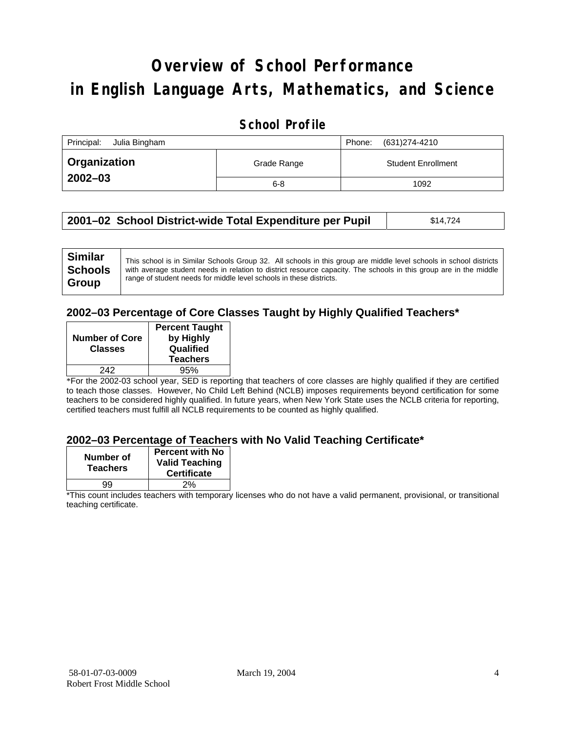# **Overview of School Performance in English Language Arts, Mathematics, and Science**

### **School Profile**

| Principal:<br>Julia Bingham |             | (631)274-4210<br>Phone:   |
|-----------------------------|-------------|---------------------------|
| Organization                | Grade Range | <b>Student Enrollment</b> |
| $2002 - 03$                 | $6 - 8$     | 1092                      |

| 2001–02 School District-wide Total Expenditure per Pupil | \$14,724 |
|----------------------------------------------------------|----------|
|----------------------------------------------------------|----------|

### **2002–03 Percentage of Core Classes Taught by Highly Qualified Teachers\***

|                                         | <b>Percent Taught</b>  |
|-----------------------------------------|------------------------|
| <b>Number of Core</b><br><b>Classes</b> | by Highly<br>Qualified |
|                                         | <b>Teachers</b>        |
| 242                                     | 95%                    |
|                                         |                        |

\*For the 2002-03 school year, SED is reporting that teachers of core classes are highly qualified if they are certified to teach those classes. However, No Child Left Behind (NCLB) imposes requirements beyond certification for some teachers to be considered highly qualified. In future years, when New York State uses the NCLB criteria for reporting, certified teachers must fulfill all NCLB requirements to be counted as highly qualified.

#### **2002–03 Percentage of Teachers with No Valid Teaching Certificate\***

| Number of<br><b>Teachers</b> | <b>Percent with No</b><br><b>Valid Teaching</b><br><b>Certificate</b> |
|------------------------------|-----------------------------------------------------------------------|
| qq                           | 2%                                                                    |

\*This count includes teachers with temporary licenses who do not have a valid permanent, provisional, or transitional teaching certificate.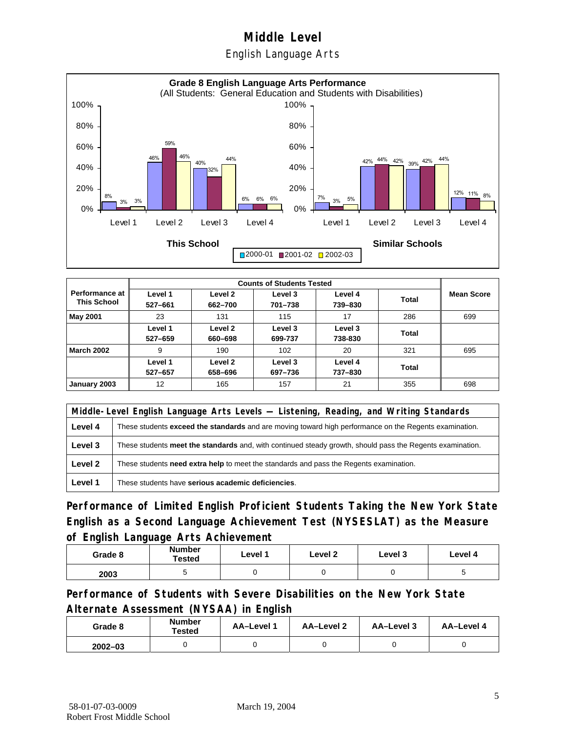### English Language Arts



| Performance at<br><b>This School</b> | Level 1<br>527-661 | Level 2<br>662-700 | Level 3<br>701-738 | Level 4<br>739-830 | <b>Total</b> | <b>Mean Score</b> |
|--------------------------------------|--------------------|--------------------|--------------------|--------------------|--------------|-------------------|
| May 2001                             | 23                 | 131                | 115                | 17                 | 286          | 699               |
|                                      | Level 1<br>527-659 | Level 2<br>660-698 | Level 3<br>699-737 | Level 3<br>738-830 | Total        |                   |
| <b>March 2002</b>                    | 9                  | 190                | 102                | 20                 | 321          | 695               |
|                                      | Level 1<br>527-657 | Level 2<br>658-696 | Level 3<br>697-736 | Level 4<br>737-830 | Total        |                   |
| January 2003                         | 12                 | 165                | 157                | 21                 | 355          | 698               |

|         | Middle-Level English Language Arts Levels — Listening, Reading, and Writing Standards                         |  |  |
|---------|---------------------------------------------------------------------------------------------------------------|--|--|
| Level 4 | These students <b>exceed the standards</b> and are moving toward high performance on the Regents examination. |  |  |
| Level 3 | These students meet the standards and, with continued steady growth, should pass the Regents examination.     |  |  |
| Level 2 | These students need extra help to meet the standards and pass the Regents examination.                        |  |  |
| Level 1 | These students have serious academic deficiencies.                                                            |  |  |

**Performance of Limited English Proficient Students Taking the New York State English as a Second Language Achievement Test (NYSESLAT) as the Measure of English Language Arts Achievement**

| Grade 8 | Number<br>Tested | Level 1 | Level 2 | Level 3 | Level 4 |
|---------|------------------|---------|---------|---------|---------|
| 2003    |                  |         |         |         |         |

**Performance of Students with Severe Disabilities on the New York State Alternate Assessment (NYSAA) in English** 

| Grade 8     | Number<br>Tested | AA-Level 1 | AA-Level 2 | AA-Level 3 | AA-Level 4 |
|-------------|------------------|------------|------------|------------|------------|
| $2002 - 03$ |                  |            |            |            |            |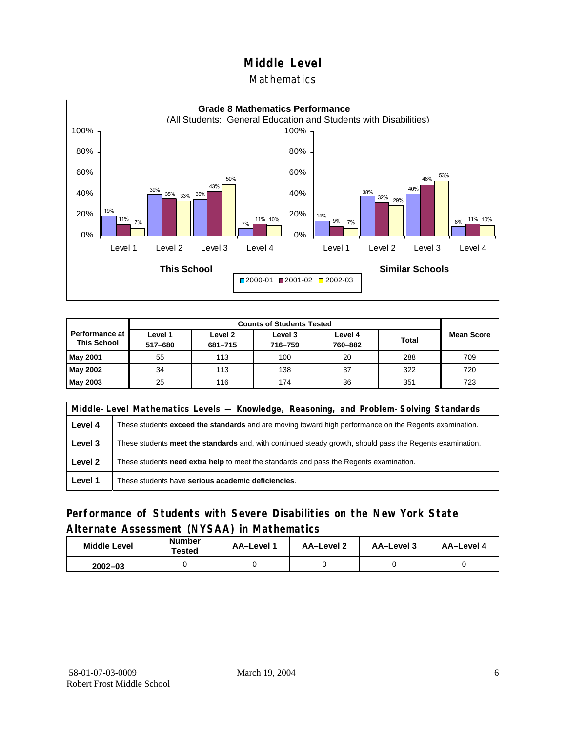#### Mathematics



| <b>Counts of Students Tested</b>            |                    |                    |                    |                    |              |                   |
|---------------------------------------------|--------------------|--------------------|--------------------|--------------------|--------------|-------------------|
| <b>Performance at</b><br><b>This School</b> | Level 1<br>517-680 | Level 2<br>681-715 | Level 3<br>716-759 | Level 4<br>760-882 | <b>Total</b> | <b>Mean Score</b> |
| <b>May 2001</b>                             | 55                 | 113                | 100                | 20                 | 288          | 709               |
| May 2002                                    | 34                 | 113                | 138                | 37                 | 322          | 720               |
| <b>May 2003</b>                             | 25                 | 116                | 174                | 36                 | 351          | 723               |

| Middle-Level Mathematics Levels — Knowledge, Reasoning, and Problem-Solving Standards |                                                                                                               |  |
|---------------------------------------------------------------------------------------|---------------------------------------------------------------------------------------------------------------|--|
| Level 4                                                                               | These students <b>exceed the standards</b> and are moving toward high performance on the Regents examination. |  |
| Level 3                                                                               | These students meet the standards and, with continued steady growth, should pass the Regents examination.     |  |
| Level 2                                                                               | These students <b>need extra help</b> to meet the standards and pass the Regents examination.                 |  |
| Level 1                                                                               | These students have serious academic deficiencies.                                                            |  |

### **Performance of Students with Severe Disabilities on the New York State Alternate Assessment (NYSAA) in Mathematics**

| <b>Middle Level</b> | <b>Number</b><br>Tested | <b>AA-Level</b> | AA-Level 2 | AA-Level 3 | AA-Level 4 |  |
|---------------------|-------------------------|-----------------|------------|------------|------------|--|
| $2002 - 03$         |                         |                 |            |            |            |  |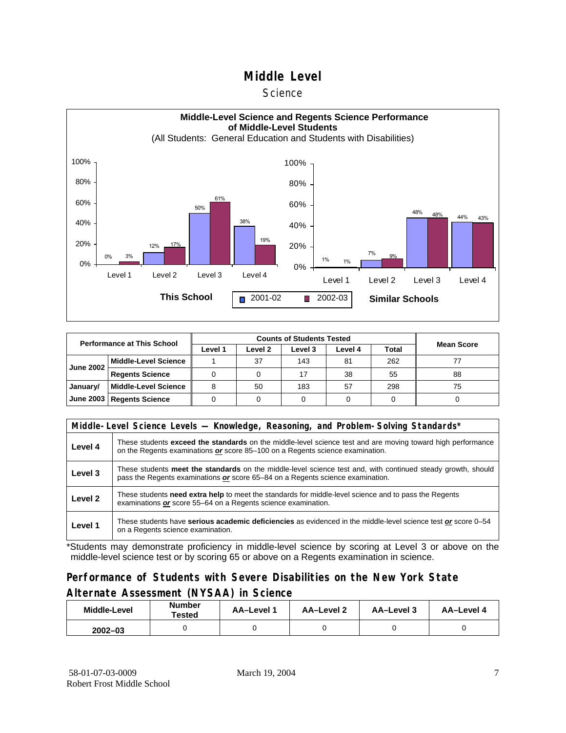#### **Science**



| <b>Performance at This School</b> |                             |         | <b>Mean Score</b> |         |         |       |    |
|-----------------------------------|-----------------------------|---------|-------------------|---------|---------|-------|----|
|                                   |                             | Level 1 | Level 2           | Level 3 | Level 4 | Total |    |
| <b>June 2002</b>                  | <b>Middle-Level Science</b> |         | 37                | 143     | 81      | 262   |    |
|                                   | <b>Regents Science</b>      |         |                   |         | 38      | 55    | 88 |
| January/                          | <b>Middle-Level Science</b> |         | 50                | 183     | 57      | 298   | 75 |
|                                   | June 2003   Regents Science |         |                   |         |         |       |    |

|         | Middle-Level Science Levels — Knowledge, Reasoning, and Problem-Solving Standards*                                                                                                                  |  |  |  |  |  |  |  |
|---------|-----------------------------------------------------------------------------------------------------------------------------------------------------------------------------------------------------|--|--|--|--|--|--|--|
| Level 4 | These students <b>exceed the standards</b> on the middle-level science test and are moving toward high performance<br>on the Regents examinations or score 85-100 on a Regents science examination. |  |  |  |  |  |  |  |
| Level 3 | These students meet the standards on the middle-level science test and, with continued steady growth, should<br>pass the Regents examinations or score 65-84 on a Regents science examination.      |  |  |  |  |  |  |  |
| Level 2 | These students need extra help to meet the standards for middle-level science and to pass the Regents<br>examinations or score 55-64 on a Regents science examination.                              |  |  |  |  |  |  |  |
| Level 1 | These students have serious academic deficiencies as evidenced in the middle-level science test or score 0–54<br>on a Regents science examination.                                                  |  |  |  |  |  |  |  |

\*Students may demonstrate proficiency in middle-level science by scoring at Level 3 or above on the middle-level science test or by scoring 65 or above on a Regents examination in science.

### **Performance of Students with Severe Disabilities on the New York State Alternate Assessment (NYSAA) in Science**

| Middle-Level | <b>Number</b><br>Tested | AA-Level 1 | AA-Level 2 | AA-Level 3 | AA-Level 4 |  |
|--------------|-------------------------|------------|------------|------------|------------|--|
| $2002 - 03$  |                         |            |            |            |            |  |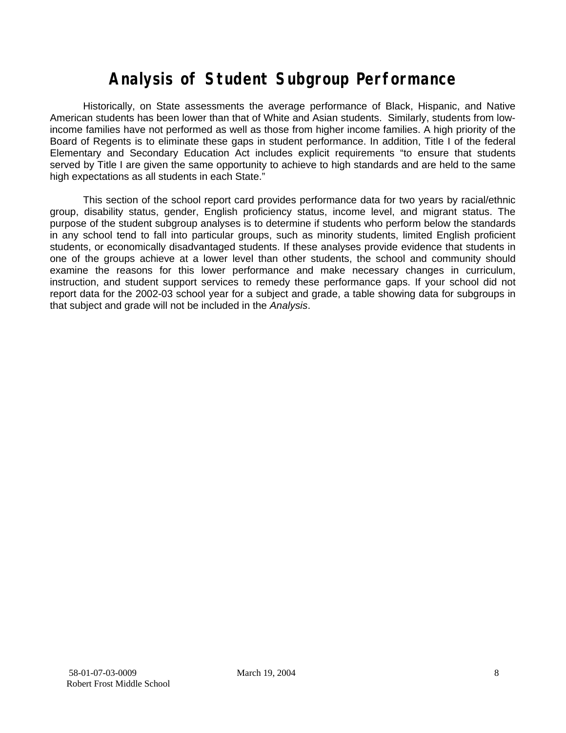# **Analysis of Student Subgroup Performance**

Historically, on State assessments the average performance of Black, Hispanic, and Native American students has been lower than that of White and Asian students. Similarly, students from lowincome families have not performed as well as those from higher income families. A high priority of the Board of Regents is to eliminate these gaps in student performance. In addition, Title I of the federal Elementary and Secondary Education Act includes explicit requirements "to ensure that students served by Title I are given the same opportunity to achieve to high standards and are held to the same high expectations as all students in each State."

This section of the school report card provides performance data for two years by racial/ethnic group, disability status, gender, English proficiency status, income level, and migrant status. The purpose of the student subgroup analyses is to determine if students who perform below the standards in any school tend to fall into particular groups, such as minority students, limited English proficient students, or economically disadvantaged students. If these analyses provide evidence that students in one of the groups achieve at a lower level than other students, the school and community should examine the reasons for this lower performance and make necessary changes in curriculum, instruction, and student support services to remedy these performance gaps. If your school did not report data for the 2002-03 school year for a subject and grade, a table showing data for subgroups in that subject and grade will not be included in the *Analysis*.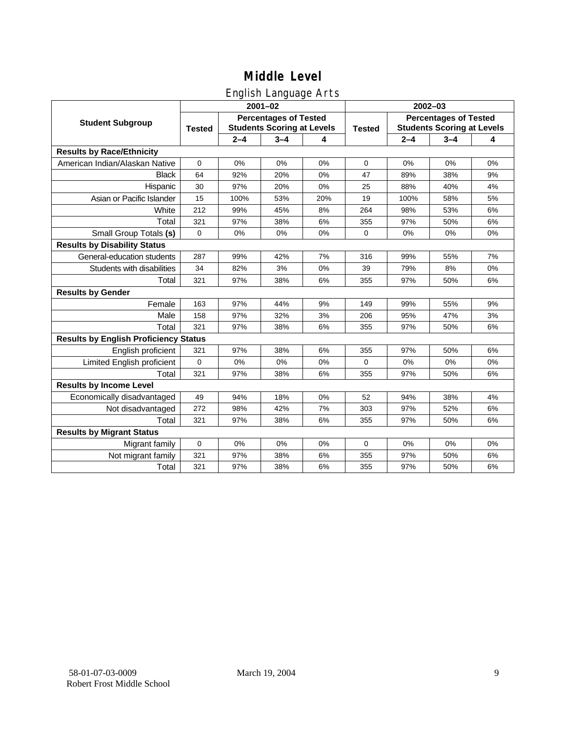### English Language Arts

|                                              |                                                                                    |         | $2001 - 02$ |       | $2002 - 03$   |                                                                   |         |    |  |
|----------------------------------------------|------------------------------------------------------------------------------------|---------|-------------|-------|---------------|-------------------------------------------------------------------|---------|----|--|
| <b>Student Subgroup</b>                      | <b>Percentages of Tested</b><br><b>Students Scoring at Levels</b><br><b>Tested</b> |         |             |       | <b>Tested</b> | <b>Percentages of Tested</b><br><b>Students Scoring at Levels</b> |         |    |  |
|                                              |                                                                                    | $2 - 4$ | $3 - 4$     | 4     |               | $2 - 4$                                                           | $3 - 4$ | 4  |  |
| <b>Results by Race/Ethnicity</b>             |                                                                                    |         |             |       |               |                                                                   |         |    |  |
| American Indian/Alaskan Native               | $\Omega$                                                                           | 0%      | 0%          | 0%    | $\Omega$      | 0%                                                                | 0%      | 0% |  |
| <b>Black</b>                                 | 64                                                                                 | 92%     | 20%         | $0\%$ | 47            | 89%                                                               | 38%     | 9% |  |
| Hispanic                                     | 30                                                                                 | 97%     | 20%         | 0%    | 25            | 88%                                                               | 40%     | 4% |  |
| Asian or Pacific Islander                    | 15                                                                                 | 100%    | 53%         | 20%   | 19            | 100%                                                              | 58%     | 5% |  |
| White                                        | 212                                                                                | 99%     | 45%         | 8%    | 264           | 98%                                                               | 53%     | 6% |  |
| Total                                        | 321                                                                                | 97%     | 38%         | 6%    | 355           | 97%                                                               | 50%     | 6% |  |
| Small Group Totals (s)                       | $\Omega$                                                                           | 0%      | 0%          | 0%    | $\Omega$      | 0%                                                                | 0%      | 0% |  |
| <b>Results by Disability Status</b>          |                                                                                    |         |             |       |               |                                                                   |         |    |  |
| General-education students                   | 287                                                                                | 99%     | 42%         | 7%    | 316           | 99%                                                               | 55%     | 7% |  |
| Students with disabilities                   | 34                                                                                 | 82%     | 3%          | 0%    | 39            | 79%                                                               | 8%      | 0% |  |
| Total                                        | 321                                                                                | 97%     | 38%         | 6%    | 355           | 97%                                                               | 50%     | 6% |  |
| <b>Results by Gender</b>                     |                                                                                    |         |             |       |               |                                                                   |         |    |  |
| Female                                       | 163                                                                                | 97%     | 44%         | 9%    | 149           | 99%                                                               | 55%     | 9% |  |
| Male                                         | 158                                                                                | 97%     | 32%         | 3%    | 206           | 95%                                                               | 47%     | 3% |  |
| Total                                        | 321                                                                                | 97%     | 38%         | 6%    | 355           | 97%                                                               | 50%     | 6% |  |
| <b>Results by English Proficiency Status</b> |                                                                                    |         |             |       |               |                                                                   |         |    |  |
| English proficient                           | 321                                                                                | 97%     | 38%         | 6%    | 355           | 97%                                                               | 50%     | 6% |  |
| Limited English proficient                   | $\Omega$                                                                           | 0%      | 0%          | 0%    | $\Omega$      | 0%                                                                | 0%      | 0% |  |
| Total                                        | 321                                                                                | 97%     | 38%         | 6%    | 355           | 97%                                                               | 50%     | 6% |  |
| <b>Results by Income Level</b>               |                                                                                    |         |             |       |               |                                                                   |         |    |  |
| Economically disadvantaged                   | 49                                                                                 | 94%     | 18%         | 0%    | 52            | 94%                                                               | 38%     | 4% |  |
| Not disadvantaged                            | 272                                                                                | 98%     | 42%         | 7%    | 303           | 97%                                                               | 52%     | 6% |  |
| Total                                        | 321                                                                                | 97%     | 38%         | 6%    | 355           | 97%                                                               | 50%     | 6% |  |
| <b>Results by Migrant Status</b>             |                                                                                    |         |             |       |               |                                                                   |         |    |  |
| Migrant family                               | $\mathbf 0$                                                                        | 0%      | 0%          | 0%    | $\Omega$      | 0%                                                                | 0%      | 0% |  |
| Not migrant family                           | 321                                                                                | 97%     | 38%         | 6%    | 355           | 97%                                                               | 50%     | 6% |  |
| Total                                        | 321                                                                                | 97%     | 38%         | 6%    | 355           | 97%                                                               | 50%     | 6% |  |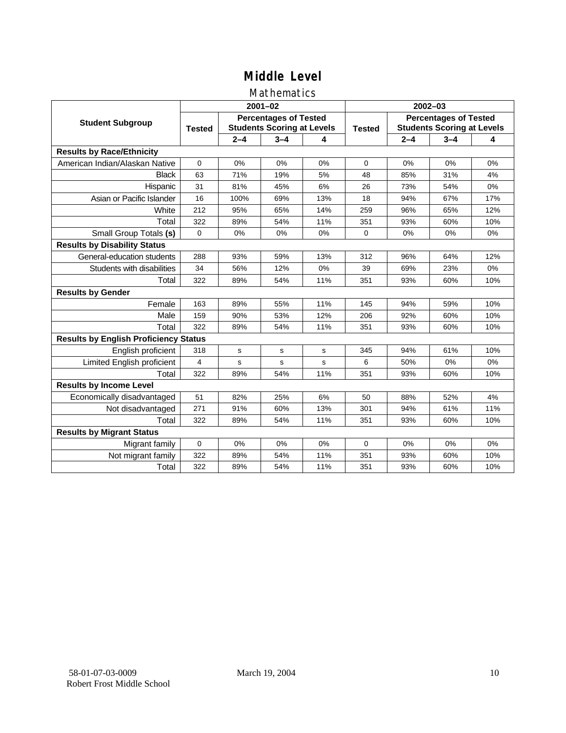### Mathematics

|                                              |               |                                                                   | $2001 - 02$ |     | $2002 - 03$   |                                                                   |         |     |  |
|----------------------------------------------|---------------|-------------------------------------------------------------------|-------------|-----|---------------|-------------------------------------------------------------------|---------|-----|--|
| <b>Student Subgroup</b>                      | <b>Tested</b> | <b>Percentages of Tested</b><br><b>Students Scoring at Levels</b> |             |     | <b>Tested</b> | <b>Percentages of Tested</b><br><b>Students Scoring at Levels</b> |         |     |  |
|                                              |               | $2 - 4$                                                           | $3 - 4$     | 4   |               | $2 - 4$                                                           | $3 - 4$ | 4   |  |
| <b>Results by Race/Ethnicity</b>             |               |                                                                   |             |     |               |                                                                   |         |     |  |
| American Indian/Alaskan Native               | $\Omega$      | 0%                                                                | 0%          | 0%  | $\Omega$      | 0%                                                                | 0%      | 0%  |  |
| <b>Black</b>                                 | 63            | 71%                                                               | 19%         | 5%  | 48            | 85%                                                               | 31%     | 4%  |  |
| Hispanic                                     | 31            | 81%                                                               | 45%         | 6%  | 26            | 73%                                                               | 54%     | 0%  |  |
| Asian or Pacific Islander                    | 16            | 100%                                                              | 69%         | 13% | 18            | 94%                                                               | 67%     | 17% |  |
| White                                        | 212           | 95%                                                               | 65%         | 14% | 259           | 96%                                                               | 65%     | 12% |  |
| Total                                        | 322           | 89%                                                               | 54%         | 11% | 351           | 93%                                                               | 60%     | 10% |  |
| Small Group Totals (s)                       | $\mathbf 0$   | 0%                                                                | 0%          | 0%  | 0             | 0%                                                                | 0%      | 0%  |  |
| <b>Results by Disability Status</b>          |               |                                                                   |             |     |               |                                                                   |         |     |  |
| General-education students                   | 288           | 93%                                                               | 59%         | 13% | 312           | 96%                                                               | 64%     | 12% |  |
| Students with disabilities                   | 34            | 56%                                                               | 12%         | 0%  | 39            | 69%                                                               | 23%     | 0%  |  |
| Total                                        | 322           | 89%                                                               | 54%         | 11% | 351           | 93%                                                               | 60%     | 10% |  |
| <b>Results by Gender</b>                     |               |                                                                   |             |     |               |                                                                   |         |     |  |
| Female                                       | 163           | 89%                                                               | 55%         | 11% | 145           | 94%                                                               | 59%     | 10% |  |
| Male                                         | 159           | 90%                                                               | 53%         | 12% | 206           | 92%                                                               | 60%     | 10% |  |
| Total                                        | 322           | 89%                                                               | 54%         | 11% | 351           | 93%                                                               | 60%     | 10% |  |
| <b>Results by English Proficiency Status</b> |               |                                                                   |             |     |               |                                                                   |         |     |  |
| English proficient                           | 318           | $\mathbf s$                                                       | s           | s   | 345           | 94%                                                               | 61%     | 10% |  |
| Limited English proficient                   | 4             | s                                                                 | s           | s   | 6             | 50%                                                               | 0%      | 0%  |  |
| Total                                        | 322           | 89%                                                               | 54%         | 11% | 351           | 93%                                                               | 60%     | 10% |  |
| <b>Results by Income Level</b>               |               |                                                                   |             |     |               |                                                                   |         |     |  |
| Economically disadvantaged                   | 51            | 82%                                                               | 25%         | 6%  | 50            | 88%                                                               | 52%     | 4%  |  |
| Not disadvantaged                            | 271           | 91%                                                               | 60%         | 13% | 301           | 94%                                                               | 61%     | 11% |  |
| Total                                        | 322           | 89%                                                               | 54%         | 11% | 351           | 93%                                                               | 60%     | 10% |  |
| <b>Results by Migrant Status</b>             |               |                                                                   |             |     |               |                                                                   |         |     |  |
| Migrant family                               | 0             | 0%                                                                | 0%          | 0%  | $\Omega$      | 0%                                                                | 0%      | 0%  |  |
| Not migrant family                           | 322           | 89%                                                               | 54%         | 11% | 351           | 93%                                                               | 60%     | 10% |  |
| Total                                        | 322           | 89%                                                               | 54%         | 11% | 351           | 93%                                                               | 60%     | 10% |  |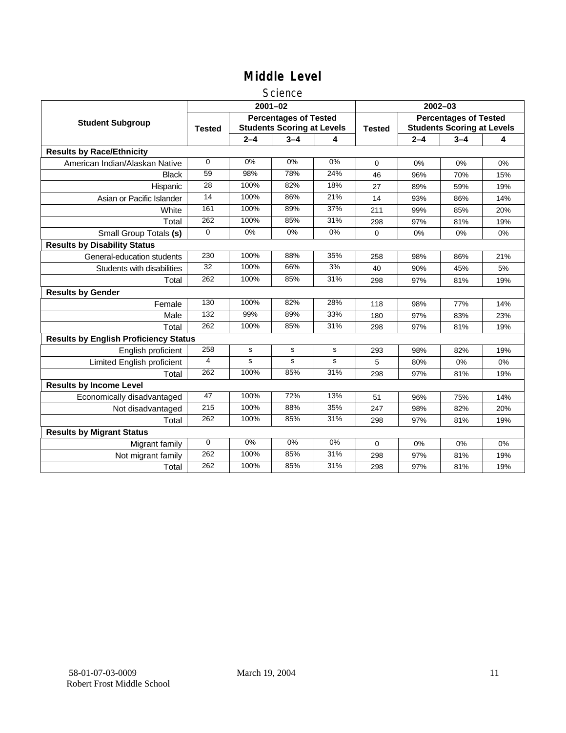### Science

|                                              |                 |                                                                   | $2001 - 02$ |     | $2002 - 03$   |                                                                   |         |     |
|----------------------------------------------|-----------------|-------------------------------------------------------------------|-------------|-----|---------------|-------------------------------------------------------------------|---------|-----|
| <b>Student Subgroup</b>                      | <b>Tested</b>   | <b>Percentages of Tested</b><br><b>Students Scoring at Levels</b> |             |     | <b>Tested</b> | <b>Percentages of Tested</b><br><b>Students Scoring at Levels</b> |         |     |
|                                              |                 | $2 - 4$                                                           | $3 - 4$     | 4   |               | $2 - 4$                                                           | $3 - 4$ | 4   |
| <b>Results by Race/Ethnicity</b>             |                 |                                                                   |             |     |               |                                                                   |         |     |
| American Indian/Alaskan Native               | $\mathbf 0$     | 0%                                                                | 0%          | 0%  | $\Omega$      | 0%                                                                | 0%      | 0%  |
| <b>Black</b>                                 | 59              | 98%                                                               | 78%         | 24% | 46            | 96%                                                               | 70%     | 15% |
| Hispanic                                     | 28              | 100%                                                              | 82%         | 18% | 27            | 89%                                                               | 59%     | 19% |
| Asian or Pacific Islander                    | 14              | 100%                                                              | 86%         | 21% | 14            | 93%                                                               | 86%     | 14% |
| White                                        | 161             | 100%                                                              | 89%         | 37% | 211           | 99%                                                               | 85%     | 20% |
| Total                                        | 262             | 100%                                                              | 85%         | 31% | 298           | 97%                                                               | 81%     | 19% |
| Small Group Totals (s)                       | $\Omega$        | 0%                                                                | 0%          | 0%  | 0             | 0%                                                                | 0%      | 0%  |
| <b>Results by Disability Status</b>          |                 |                                                                   |             |     |               |                                                                   |         |     |
| General-education students                   | 230             | 100%                                                              | 88%         | 35% | 258           | 98%                                                               | 86%     | 21% |
| Students with disabilities                   | $\overline{32}$ | 100%                                                              | 66%         | 3%  | 40            | 90%                                                               | 45%     | 5%  |
| Total                                        | 262             | 100%                                                              | 85%         | 31% | 298           | 97%                                                               | 81%     | 19% |
| <b>Results by Gender</b>                     |                 |                                                                   |             |     |               |                                                                   |         |     |
| Female                                       | 130             | 100%                                                              | 82%         | 28% | 118           | 98%                                                               | 77%     | 14% |
| Male                                         | 132             | 99%                                                               | 89%         | 33% | 180           | 97%                                                               | 83%     | 23% |
| Total                                        | 262             | 100%                                                              | 85%         | 31% | 298           | 97%                                                               | 81%     | 19% |
| <b>Results by English Proficiency Status</b> |                 |                                                                   |             |     |               |                                                                   |         |     |
| English proficient                           | 258             | s                                                                 | s           | s   | 293           | 98%                                                               | 82%     | 19% |
| Limited English proficient                   | 4               | s                                                                 | s           | s   | 5             | 80%                                                               | 0%      | 0%  |
| Total                                        | 262             | 100%                                                              | 85%         | 31% | 298           | 97%                                                               | 81%     | 19% |
| <b>Results by Income Level</b>               |                 |                                                                   |             |     |               |                                                                   |         |     |
| Economically disadvantaged                   | 47              | 100%                                                              | 72%         | 13% | 51            | 96%                                                               | 75%     | 14% |
| Not disadvantaged                            | 215             | 100%                                                              | 88%         | 35% | 247           | 98%                                                               | 82%     | 20% |
| Total                                        | 262             | 100%                                                              | 85%         | 31% | 298           | 97%                                                               | 81%     | 19% |
| <b>Results by Migrant Status</b>             |                 |                                                                   |             |     |               |                                                                   |         |     |
| Migrant family                               | $\mathbf 0$     | 0%                                                                | 0%          | 0%  | 0             | 0%                                                                | 0%      | 0%  |
| Not migrant family                           | 262             | 100%                                                              | 85%         | 31% | 298           | 97%                                                               | 81%     | 19% |
| Total                                        | 262             | 100%                                                              | 85%         | 31% | 298           | 97%                                                               | 81%     | 19% |